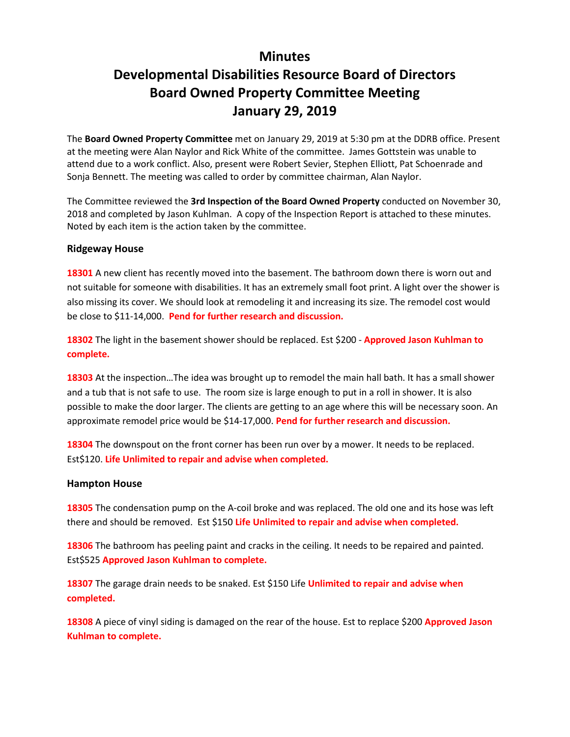# **Minutes**

# **Developmental Disabilities Resource Board of Directors Board Owned Property Committee Meeting January 29, 2019**

The **Board Owned Property Committee** met on January 29, 2019 at 5:30 pm at the DDRB office. Present at the meeting were Alan Naylor and Rick White of the committee. James Gottstein was unable to attend due to a work conflict. Also, present were Robert Sevier, Stephen Elliott, Pat Schoenrade and Sonja Bennett. The meeting was called to order by committee chairman, Alan Naylor.

The Committee reviewed the **3rd Inspection of the Board Owned Property** conducted on November 30, 2018 and completed by Jason Kuhlman. A copy of the Inspection Report is attached to these minutes. Noted by each item is the action taken by the committee.

#### **Ridgeway House**

**18301** A new client has recently moved into the basement. The bathroom down there is worn out and not suitable for someone with disabilities. It has an extremely small foot print. A light over the shower is also missing its cover. We should look at remodeling it and increasing its size. The remodel cost would be close to \$11-14,000. **Pend for further research and discussion.**

**18302** The light in the basement shower should be replaced. Est \$200 - **Approved Jason Kuhlman to complete.**

**18303** At the inspection…The idea was brought up to remodel the main hall bath. It has a small shower and a tub that is not safe to use. The room size is large enough to put in a roll in shower. It is also possible to make the door larger. The clients are getting to an age where this will be necessary soon. An approximate remodel price would be \$14-17,000. **Pend for further research and discussion.**

**18304** The downspout on the front corner has been run over by a mower. It needs to be replaced. Est\$120. **Life Unlimited to repair and advise when completed.**

#### **Hampton House**

**18305** The condensation pump on the A-coil broke and was replaced. The old one and its hose was left there and should be removed. Est \$150 **Life Unlimited to repair and advise when completed.**

**18306** The bathroom has peeling paint and cracks in the ceiling. It needs to be repaired and painted. Est\$525 **Approved Jason Kuhlman to complete.**

**18307** The garage drain needs to be snaked. Est \$150 Life **Unlimited to repair and advise when completed.**

**18308** A piece of vinyl siding is damaged on the rear of the house. Est to replace \$200 **Approved Jason Kuhlman to complete.**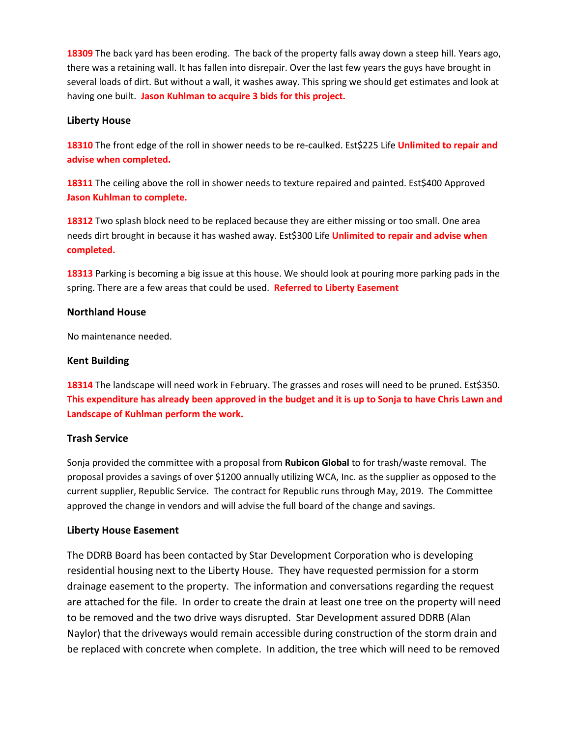**18309** The back yard has been eroding. The back of the property falls away down a steep hill. Years ago, there was a retaining wall. It has fallen into disrepair. Over the last few years the guys have brought in several loads of dirt. But without a wall, it washes away. This spring we should get estimates and look at having one built. **Jason Kuhlman to acquire 3 bids for this project.**

#### **Liberty House**

**18310** The front edge of the roll in shower needs to be re-caulked. Est\$225 Life **Unlimited to repair and advise when completed.**

**18311** The ceiling above the roll in shower needs to texture repaired and painted. Est\$400 Approved **Jason Kuhlman to complete.**

**18312** Two splash block need to be replaced because they are either missing or too small. One area needs dirt brought in because it has washed away. Est\$300 Life **Unlimited to repair and advise when completed.**

**18313** Parking is becoming a big issue at this house. We should look at pouring more parking pads in the spring. There are a few areas that could be used. **Referred to Liberty Easement**

#### **Northland House**

No maintenance needed.

#### **Kent Building**

**18314** The landscape will need work in February. The grasses and roses will need to be pruned. Est\$350. **This expenditure has already been approved in the budget and it is up to Sonja to have Chris Lawn and Landscape of Kuhlman perform the work.**

### **Trash Service**

Sonja provided the committee with a proposal from **Rubicon Global** to for trash/waste removal. The proposal provides a savings of over \$1200 annually utilizing WCA, Inc. as the supplier as opposed to the current supplier, Republic Service. The contract for Republic runs through May, 2019. The Committee approved the change in vendors and will advise the full board of the change and savings.

#### **Liberty House Easement**

The DDRB Board has been contacted by Star Development Corporation who is developing residential housing next to the Liberty House. They have requested permission for a storm drainage easement to the property. The information and conversations regarding the request are attached for the file. In order to create the drain at least one tree on the property will need to be removed and the two drive ways disrupted. Star Development assured DDRB (Alan Naylor) that the driveways would remain accessible during construction of the storm drain and be replaced with concrete when complete. In addition, the tree which will need to be removed